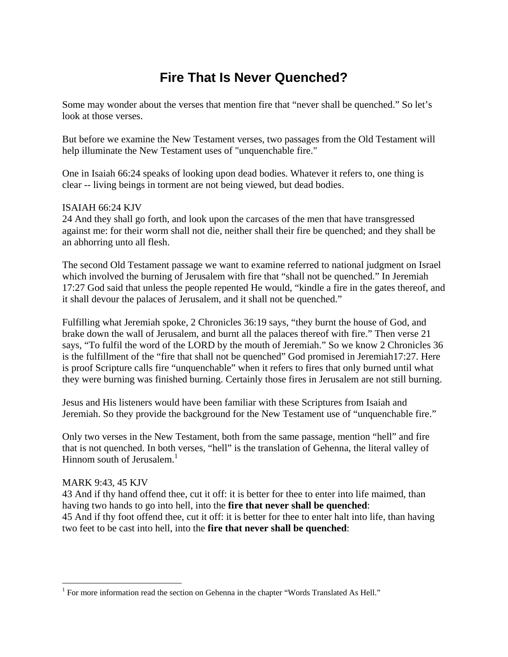# **Fire That Is Never Quenched?**

Some may wonder about the verses that mention fire that "never shall be quenched." So let's look at those verses.

But before we examine the New Testament verses, two passages from the Old Testament will help illuminate the New Testament uses of "unquenchable fire."

One in Isaiah 66:24 speaks of looking upon dead bodies. Whatever it refers to, one thing is clear -- living beings in torment are not being viewed, but dead bodies.

#### ISAIAH 66:24 KJV

24 And they shall go forth, and look upon the carcases of the men that have transgressed against me: for their worm shall not die, neither shall their fire be quenched; and they shall be an abhorring unto all flesh.

The second Old Testament passage we want to examine referred to national judgment on Israel which involved the burning of Jerusalem with fire that "shall not be quenched." In Jeremiah 17:27 God said that unless the people repented He would, "kindle a fire in the gates thereof, and it shall devour the palaces of Jerusalem, and it shall not be quenched."

Fulfilling what Jeremiah spoke, 2 Chronicles 36:19 says, "they burnt the house of God, and brake down the wall of Jerusalem, and burnt all the palaces thereof with fire." Then verse 21 says, "To fulfil the word of the LORD by the mouth of Jeremiah." So we know 2 Chronicles 36 is the fulfillment of the "fire that shall not be quenched" God promised in Jeremiah17:27. Here is proof Scripture calls fire "unquenchable" when it refers to fires that only burned until what they were burning was finished burning. Certainly those fires in Jerusalem are not still burning.

Jesus and His listeners would have been familiar with these Scriptures from Isaiah and Jeremiah. So they provide the background for the New Testament use of "unquenchable fire."

Only two verses in the New Testament, both from the same passage, mention "hell" and fire that is not quenched. In both verses, "hell" is the translation of Gehenna, the literal valley of Hinnom south of Jerusalem. $<sup>1</sup>$ </sup>

#### MARK 9:43, 45 KJV

 $\overline{a}$ 

43 And if thy hand offend thee, cut it off: it is better for thee to enter into life maimed, than having two hands to go into hell, into the **fire that never shall be quenched**: 45 And if thy foot offend thee, cut it off: it is better for thee to enter halt into life, than having two feet to be cast into hell, into the **fire that never shall be quenched**:

<sup>&</sup>lt;sup>1</sup> For more information read the section on Gehenna in the chapter "Words Translated As Hell."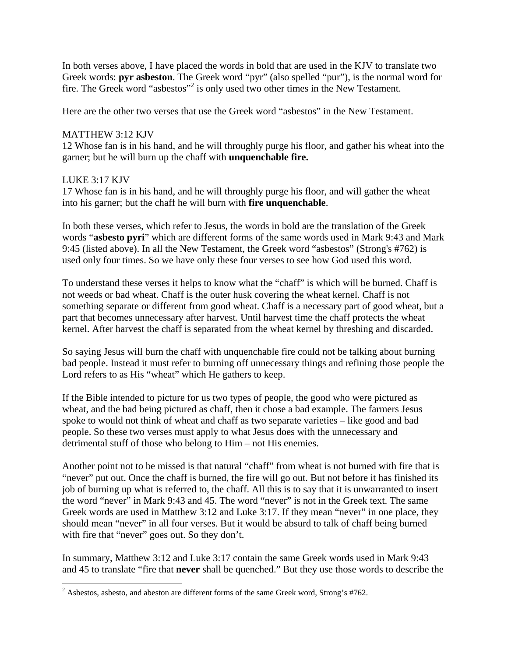In both verses above, I have placed the words in bold that are used in the KJV to translate two Greek words: **pyr asbeston**. The Greek word "pyr" (also spelled "pur"), is the normal word for fire. The Greek word "asbestos"<sup>2</sup> is only used two other times in the New Testament.

Here are the other two verses that use the Greek word "asbestos" in the New Testament.

### MATTHEW 3:12 KJV

12 Whose fan is in his hand, and he will throughly purge his floor, and gather his wheat into the garner; but he will burn up the chaff with **unquenchable fire.**

## LUKE 3:17 KJV

17 Whose fan is in his hand, and he will throughly purge his floor, and will gather the wheat into his garner; but the chaff he will burn with **fire unquenchable**.

In both these verses, which refer to Jesus, the words in bold are the translation of the Greek words "**asbesto pyri**" which are different forms of the same words used in Mark 9:43 and Mark 9:45 (listed above). In all the New Testament, the Greek word "asbestos" (Strong's #762) is used only four times. So we have only these four verses to see how God used this word.

To understand these verses it helps to know what the "chaff" is which will be burned. Chaff is not weeds or bad wheat. Chaff is the outer husk covering the wheat kernel. Chaff is not something separate or different from good wheat. Chaff is a necessary part of good wheat, but a part that becomes unnecessary after harvest. Until harvest time the chaff protects the wheat kernel. After harvest the chaff is separated from the wheat kernel by threshing and discarded.

So saying Jesus will burn the chaff with unquenchable fire could not be talking about burning bad people. Instead it must refer to burning off unnecessary things and refining those people the Lord refers to as His "wheat" which He gathers to keep.

If the Bible intended to picture for us two types of people, the good who were pictured as wheat, and the bad being pictured as chaff, then it chose a bad example. The farmers Jesus spoke to would not think of wheat and chaff as two separate varieties – like good and bad people. So these two verses must apply to what Jesus does with the unnecessary and detrimental stuff of those who belong to Him – not His enemies.

Another point not to be missed is that natural "chaff" from wheat is not burned with fire that is "never" put out. Once the chaff is burned, the fire will go out. But not before it has finished its job of burning up what is referred to, the chaff. All this is to say that it is unwarranted to insert the word "never" in Mark 9:43 and 45. The word "never" is not in the Greek text. The same Greek words are used in Matthew 3:12 and Luke 3:17. If they mean "never" in one place, they should mean "never" in all four verses. But it would be absurd to talk of chaff being burned with fire that "never" goes out. So they don't.

In summary, Matthew 3:12 and Luke 3:17 contain the same Greek words used in Mark 9:43 and 45 to translate "fire that **never** shall be quenched." But they use those words to describe the

<sup>&</sup>lt;sup>2</sup> Asbestos, asbesto, and abeston are different forms of the same Greek word, Strong's #762.